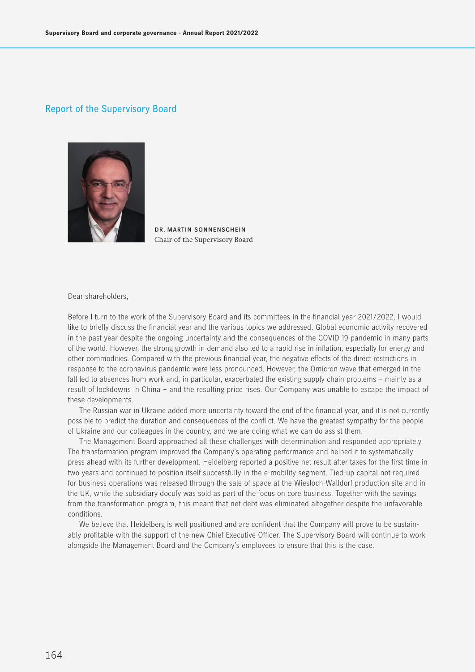# Report of the Supervisory Board



dr. martin sonnenschein Chair of the Supervisory Board

Dear shareholders,

Before I turn to the work of the Supervisory Board and its committees in the financial year 2021/2022, I would like to briefly discuss the financial year and the various topics we addressed. Global economic activity recovered in the past year despite the ongoing uncertainty and the consequences of the COVID-19 pandemic in many parts of the world. However, the strong growth in demand also led to a rapid rise in inflation, especially for energy and other commodities. Compared with the previous financial year, the negative effects of the direct restrictions in response to the coronavirus pandemic were less pronounced. However, the Omicron wave that emerged in the fall led to absences from work and, in particular, exacerbated the existing supply chain problems – mainly as a result of lockdowns in China – and the resulting price rises. Our Company was unable to escape the impact of these developments.

The Russian war in Ukraine added more uncertainty toward the end of the financial year, and it is not currently possible to predict the duration and consequences of the conflict. We have the greatest sympathy for the people of Ukraine and our colleagues in the country, and we are doing what we can do assist them.

The Management Board approached all these challenges with determination and responded appropriately. The transformation program improved the Company's operating performance and helped it to systematically press ahead with its further development. Heidelberg reported a positive net result after taxes for the first time in two years and continued to position itself successfully in the e-mobility segment. Tied-up capital not required for business operations was released through the sale of space at the Wiesloch-Walldorf production site and in the UK, while the subsidiary docufy was sold as part of the focus on core business. Together with the savings from the transformation program, this meant that net debt was eliminated altogether despite the unfavorable conditions.

We believe that Heidelberg is well positioned and are confident that the Company will prove to be sustainably profitable with the support of the new Chief Executive Officer. The Supervisory Board will continue to work alongside the Management Board and the Company's employees to ensure that this is the case.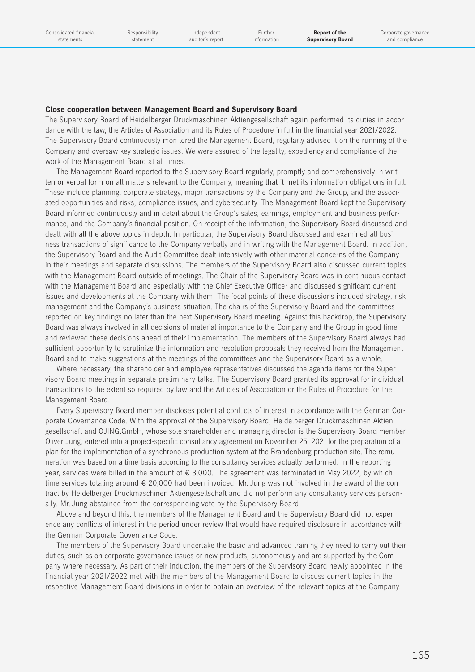### **Close cooperation between Management Board and Supervisory Board**

The Supervisory Board of Heidelberger Druckmaschinen Aktiengesellschaft again performed its duties in accordance with the law, the Articles of Association and its Rules of Procedure in full in the financial year 2021/2022. The Supervisory Board continuously monitored the Management Board, regularly advised it on the running of the Company and oversaw key strategic issues. We were assured of the legality, expediency and compliance of the work of the Management Board at all times.

The Management Board reported to the Supervisory Board regularly, promptly and comprehensively in written or verbal form on all matters relevant to the Company, meaning that it met its information obligations in full. These include planning, corporate strategy, major transactions by the Company and the Group, and the associated opportunities and risks, compliance issues, and cybersecurity. The Management Board kept the Supervisory Board informed continuously and in detail about the Group's sales, earnings, employment and business performance, and the Company's financial position. On receipt of the information, the Supervisory Board discussed and dealt with all the above topics in depth. In particular, the Supervisory Board discussed and examined all business transactions of significance to the Company verbally and in writing with the Management Board. In addition, the Supervisory Board and the Audit Committee dealt intensively with other material concerns of the Company in their meetings and separate discussions. The members of the Supervisory Board also discussed current topics with the Management Board outside of meetings. The Chair of the Supervisory Board was in continuous contact with the Management Board and especially with the Chief Executive Officer and discussed significant current issues and developments at the Company with them. The focal points of these discussions included strategy, risk management and the Company's business situation. The chairs of the Supervisory Board and the committees reported on key findings no later than the next Supervisory Board meeting. Against this backdrop, the Supervisory Board was always involved in all decisions of material importance to the Company and the Group in good time and reviewed these decisions ahead of their implementation. The members of the Supervisory Board always had sufficient opportunity to scrutinize the information and resolution proposals they received from the Management Board and to make suggestions at the meetings of the committees and the Supervisory Board as a whole.

Where necessary, the shareholder and employee representatives discussed the agenda items for the Supervisory Board meetings in separate preliminary talks. The Supervisory Board granted its approval for individual transactions to the extent so required by law and the Articles of Association or the Rules of Procedure for the Management Board.

Every Supervisory Board member discloses potential conflicts of interest in accordance with the German Corporate Governance Code. With the approval of the Supervisory Board, Heidelberger Druckmaschinen Aktiengesellschaft and OJING.GmbH, whose sole shareholder and managing director is the Supervisory Board member Oliver Jung, entered into a project-specific consultancy agreement on November 25, 2021 for the preparation of a plan for the implementation of a synchronous production system at the Brandenburg production site. The remuneration was based on a time basis according to the consultancy services actually performed. In the reporting year, services were billed in the amount of  $\epsilon$  3,000. The agreement was terminated in May 2022, by which time services totaling around  $\epsilon$  20,000 had been invoiced. Mr. Jung was not involved in the award of the contract by Heidelberger Druckmaschinen Aktiengesellschaft and did not perform any consultancy services personally. Mr. Jung abstained from the corresponding vote by the Supervisory Board.

Above and beyond this, the members of the Management Board and the Supervisory Board did not experience any conflicts of interest in the period under review that would have required disclosure in accordance with the German Corporate Governance Code.

The members of the Supervisory Board undertake the basic and advanced training they need to carry out their duties, such as on corporate governance issues or new products, autonomously and are supported by the Company where necessary. As part of their induction, the members of the Supervisory Board newly appointed in the financial year 2021/2022 met with the members of the Management Board to discuss current topics in the respective Management Board divisions in order to obtain an overview of the relevant topics at the Company.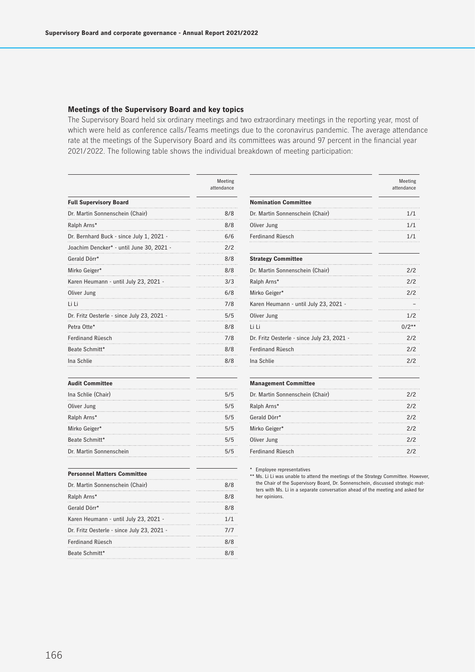### **Meetings of the Supervisory Board and key topics**

The Supervisory Board held six ordinary meetings and two extraordinary meetings in the reporting year, most of which were held as conference calls/Teams meetings due to the coronavirus pandemic. The average attendance rate at the meetings of the Supervisory Board and its committees was around 97 percent in the financial year 2021/2022. The following table shows the individual breakdown of meeting participation:

**Nomination Committee**

|                                            | Meeting<br>attendance |
|--------------------------------------------|-----------------------|
| <b>Full Supervisory Board</b>              |                       |
| Dr. Martin Sonnenschein (Chair)            | 8/8                   |
| Ralph Arns*                                | 8/8                   |
| Dr. Bernhard Buck - since July 1, 2021 -   | 6/6                   |
| Joachim Dencker* - until June 30, 2021 -   | 2/2                   |
| Gerald Dörr*                               | 8/8                   |
| Mirko Geiger*                              | 8/8                   |
| Karen Heumann - until July 23, 2021 -      | 3/3                   |
| Oliver Jung                                | 6/8                   |
| li Li                                      | 7/8                   |
| Dr. Fritz Oesterle - since July 23, 2021 - | 5/5                   |
| Petra Otte*                                | 8/8                   |
| <b>Ferdinand Rüesch</b>                    | 7/8                   |
| Beate Schmitt*                             | 8/8                   |
| Ina Schlie                                 | 8/8                   |

| Dr. Martin Sonnenschein (Chair)<br>$\cdots$ | 1/1     |
|---------------------------------------------|---------|
| Oliver Jung                                 | 1/1     |
| <b>Ferdinand Rüesch</b>                     | 1/1     |
| <b>Strategy Committee</b>                   |         |
| Dr. Martin Sonnenschein (Chair)             | 2/2     |
| Ralph Arns*                                 | 2/2     |
| Mirko Geiger*                               | 2/2     |
| Karen Heumann - until July 23, 2021 -       |         |
| Oliver Jung                                 | 1/2     |
| Li Li                                       | $0/2**$ |
| Dr. Fritz Oesterle - since July 23, 2021 -  | 2/2     |
| <b>Ferdinand Rüesch</b>                     | 2/2     |
| Ina Schlie                                  | 2/2     |
| <b>Management Committee</b>                 |         |
| Dr. Martin Sonnenschein (Chair)             | 2/2     |
| Ralph Arns*<br>.                            | 2/2     |
| Gerald Dörr*                                | 2/2     |
| Mirko Geiger*                               | 2/2     |
| Oliver Jung                                 | 2/2     |
| <b>Ferdinand Rüesch</b>                     | 2/2     |

Meeting attendance

#### **Audit Committee**

| Ina Schlie (Chair)      | 5/5 |
|-------------------------|-----|
| Oliver Jung             | 5/5 |
| Ralph Arns*             | 5/5 |
| Mirko Geiger*           | 5/5 |
| Beate Schmitt*          | 5/5 |
| Dr. Martin Sonnenschein | 5/5 |

## **Personnel Matters Committee**  . . . . . . . . . Dr. Martin Sonnenschein (Chair) 8/8 Ralph Arns\* 8/8 Gerald Dörr\* 8/8 Karen Heumann - until July 23, 2021 - 1/1 Dr. Fritz Oesterle - since July 23, 2021 - 7/7 Ferdinand Rüesch 8/8 Beate Schmitt\* 8/8

\* Employee representatives

\*\* Ms. Li Li was unable to attend the meetings of the Strategy Committee. However, the Chair of the Supervisory Board, Dr. Sonnenschein, discussed strategic matters with Ms. Li in a separate conversation ahead of the meeting and asked for her opinions.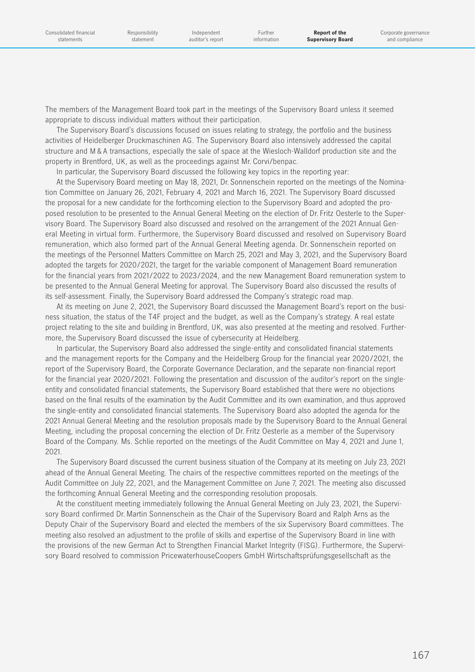The members of the Management Board took part in the meetings of the Supervisory Board unless it seemed appropriate to discuss individual matters without their participation.

The Supervisory Board's discussions focused on issues relating to strategy, the portfolio and the business activities of Heidelberger Druckmaschinen AG. The Supervisory Board also intensively addressed the capital structure and M & A transactions, especially the sale of space at the Wiesloch-Walldorf production site and the property in Brentford, UK, as well as the proceedings against Mr. Corvi/benpac.

In particular, the Supervisory Board discussed the following key topics in the reporting year:

At the Supervisory Board meeting on May 18, 2021, Dr. Sonnenschein reported on the meetings of the Nomination Committee on January 26, 2021, February 4, 2021 and March 16, 2021. The Supervisory Board discussed the proposal for a new candidate for the forthcoming election to the Supervisory Board and adopted the proposed resolution to be presented to the Annual General Meeting on the election of Dr. Fritz Oesterle to the Supervisory Board. The Supervisory Board also discussed and resolved on the arrangement of the 2021 Annual General Meeting in virtual form. Furthermore, the Supervisory Board discussed and resolved on Supervisory Board remuneration, which also formed part of the Annual General Meeting agenda. Dr. Sonnenschein reported on the meetings of the Personnel Matters Committee on March 25, 2021 and May 3, 2021, and the Supervisory Board adopted the targets for 2020/2021, the target for the variable component of Management Board remuneration for the financial years from 2021/2022 to 2023/2024, and the new Management Board remuneration system to be presented to the Annual General Meeting for approval. The Supervisory Board also discussed the results of its self-assessment. Finally, the Supervisory Board addressed the Company's strategic road map.

At its meeting on June 2, 2021, the Supervisory Board discussed the Management Board's report on the business situation, the status of the T4F project and the budget, as well as the Company's strategy. A real estate project relating to the site and building in Brentford, UK, was also presented at the meeting and resolved. Furthermore, the Supervisory Board discussed the issue of cybersecurity at Heidelberg.

In particular, the Supervisory Board also addressed the single-entity and consolidated financial statements and the management reports for the Company and the Heidelberg Group for the financial year 2020/2021, the report of the Supervisory Board, the Corporate Governance Declaration, and the separate non-financial report for the financial year 2020/2021. Following the presentation and discussion of the auditor's report on the singleentity and consolidated financial statements, the Supervisory Board established that there were no objections based on the final results of the examination by the Audit Committee and its own examination, and thus approved the single-entity and consolidated financial statements. The Supervisory Board also adopted the agenda for the 2021 Annual General Meeting and the resolution proposals made by the Supervisory Board to the Annual General Meeting, including the proposal concerning the election of Dr. Fritz Oesterle as a member of the Supervisory Board of the Company. Ms. Schlie reported on the meetings of the Audit Committee on May 4, 2021 and June 1, 2021.

The Supervisory Board discussed the current business situation of the Company at its meeting on July 23, 2021 ahead of the Annual General Meeting. The chairs of the respective committees reported on the meetings of the Audit Committee on July 22, 2021, and the Management Committee on June 7, 2021. The meeting also discussed the forthcoming Annual General Meeting and the corresponding resolution proposals.

At the constituent meeting immediately following the Annual General Meeting on July 23, 2021, the Supervisory Board confirmed Dr. Martin Sonnenschein as the Chair of the Supervisory Board and Ralph Arns as the Deputy Chair of the Supervisory Board and elected the members of the six Supervisory Board committees. The meeting also resolved an adjustment to the profile of skills and expertise of the Supervisory Board in line with the provisions of the new German Act to Strengthen Financial Market Integrity (FISG). Furthermore, the Supervisory Board resolved to commission PricewaterhouseCoopers GmbH Wirtschaftsprüfungsgesellschaft as the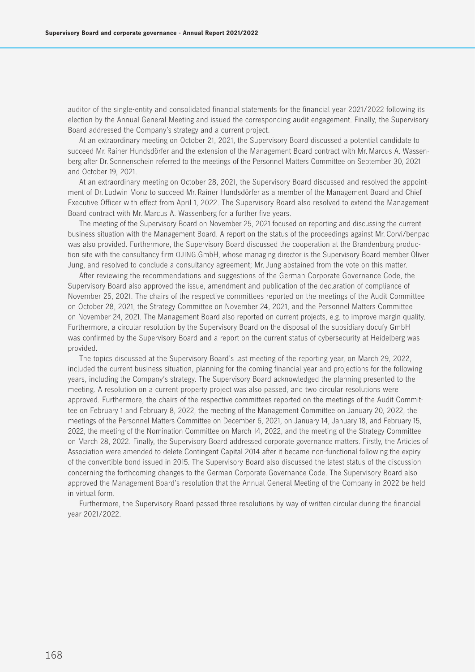auditor of the single-entity and consolidated financial statements for the financial year 2021/2022 following its election by the Annual General Meeting and issued the corresponding audit engagement. Finally, the Supervisory Board addressed the Company's strategy and a current project.

At an extraordinary meeting on October 21, 2021, the Supervisory Board discussed a potential candidate to succeed Mr. Rainer Hundsdörfer and the extension of the Management Board contract with Mr. Marcus A. Wassenberg after Dr. Sonnenschein referred to the meetings of the Personnel Matters Committee on September 30, 2021 and October 19, 2021.

At an extraordinary meeting on October 28, 2021, the Supervisory Board discussed and resolved the appointment of Dr. Ludwin Monz to succeed Mr. Rainer Hundsdörfer as a member of the Management Board and Chief Executive Officer with effect from April 1, 2022. The Supervisory Board also resolved to extend the Management Board contract with Mr. Marcus A. Wassenberg for a further five years.

The meeting of the Supervisory Board on November 25, 2021 focused on reporting and discussing the current business situation with the Management Board. A report on the status of the proceedings against Mr. Corvi/benpac was also provided. Furthermore, the Supervisory Board discussed the cooperation at the Brandenburg production site with the consultancy firm OJING.GmbH, whose managing director is the Supervisory Board member Oliver Jung, and resolved to conclude a consultancy agreement; Mr. Jung abstained from the vote on this matter.

After reviewing the recommendations and suggestions of the German Corporate Governance Code, the Supervisory Board also approved the issue, amendment and publication of the declaration of compliance of November 25, 2021. The chairs of the respective committees reported on the meetings of the Audit Committee on October 28, 2021, the Strategy Committee on November 24, 2021, and the Personnel Matters Committee on November 24, 2021. The Management Board also reported on current projects, e.g. to improve margin quality. Furthermore, a circular resolution by the Supervisory Board on the disposal of the subsidiary docufy GmbH was confirmed by the Supervisory Board and a report on the current status of cybersecurity at Heidelberg was provided.

The topics discussed at the Supervisory Board's last meeting of the reporting year, on March 29, 2022, included the current business situation, planning for the coming financial year and projections for the following years, including the Company's strategy. The Supervisory Board acknowledged the planning presented to the meeting. A resolution on a current property project was also passed, and two circular resolutions were approved. Furthermore, the chairs of the respective committees reported on the meetings of the Audit Committee on February 1 and February 8, 2022, the meeting of the Management Committee on January 20, 2022, the meetings of the Personnel Matters Committee on December 6, 2021, on January 14, January 18, and February 15, 2022, the meeting of the Nomination Committee on March 14, 2022, and the meeting of the Strategy Committee on March 28, 2022. Finally, the Supervisory Board addressed corporate governance matters. Firstly, the Articles of Association were amended to delete Contingent Capital 2014 after it became non-functional following the expiry of the convertible bond issued in 2015. The Supervisory Board also discussed the latest status of the discussion concerning the forthcoming changes to the German Corporate Governance Code. The Supervisory Board also approved the Management Board's resolution that the Annual General Meeting of the Company in 2022 be held in virtual form.

Furthermore, the Supervisory Board passed three resolutions by way of written circular during the financial year 2021/2022.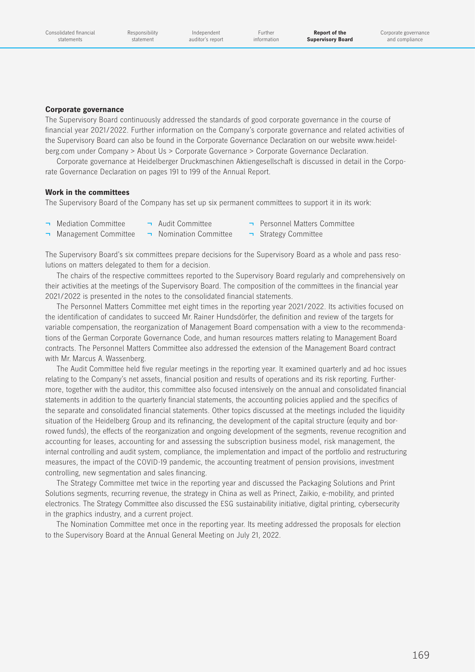Responsibility statement

Independent auditor's report

Further information

### **Corporate governance**

The Supervisory Board continuously addressed the standards of good corporate governance in the course of financial year 2021/2022. Further information on the Company's corporate governance and related activities of the Supervisory Board can also be found in the Corporate Governance Declaration on our websit[e www.heidel](https://www.heidelberg.com/global/en/about_heidelberg/company/corporate_governance/corporate_governance_3/corporate_governance_statement/corporate_governance_statement.jsp)[berg.com under Company > About Us > Corporate Governance > Corporate Governance Declaration.](https://www.heidelberg.com/global/en/about_heidelberg/company/corporate_governance/corporate_governance_3/corporate_governance_statement/corporate_governance_statement.jsp)

Corporate governance at Heidelberger Druckmaschinen Aktiengesellschaft is discussed in detail in the Corporate Governance Declaration on pages 191 to 199 of the Annual Report.

#### **Work in the committees**

The Supervisory Board of the Company has set up six permanent committees to support it in its work:

- -
- ¬ Mediation Committee ¬ Audit Committee ¬ Personnel Matters Committee
- ¬ Management Committee ¬ Nomination Committee ¬ Strategy Committee
- 

The Supervisory Board's six committees prepare decisions for the Supervisory Board as a whole and pass resolutions on matters delegated to them for a decision.

The chairs of the respective committees reported to the Supervisory Board regularly and comprehensively on their activities at the meetings of the Supervisory Board. The composition of the committees in the financial year 2021/2022 is presented in the notes to the consolidated financial statements.

The Personnel Matters Committee met eight times in the reporting year 2021/2022. Its activities focused on the identification of candidates to succeed Mr. Rainer Hundsdörfer, the definition and review of the targets for variable compensation, the reorganization of Management Board compensation with a view to the recommendations of the German Corporate Governance Code, and human resources matters relating to Management Board contracts. The Personnel Matters Committee also addressed the extension of the Management Board contract with Mr. Marcus A. Wassenberg.

The Audit Committee held five regular meetings in the reporting year. It examined quarterly and ad hoc issues relating to the Company's net assets, financial position and results of operations and its risk reporting. Furthermore, together with the auditor, this committee also focused intensively on the annual and consolidated financial statements in addition to the quarterly financial statements, the accounting policies applied and the specifics of the separate and consolidated financial statements. Other topics discussed at the meetings included the liquidity situation of the Heidelberg Group and its refinancing, the development of the capital structure (equity and borrowed funds), the effects of the reorganization and ongoing development of the segments, revenue recognition and accounting for leases, accounting for and assessing the subscription business model, risk management, the internal controlling and audit system, compliance, the implementation and impact of the portfolio and restructuring measures, the impact of the COVID-19 pandemic, the accounting treatment of pension provisions, investment controlling, new segmentation and sales financing.

The Strategy Committee met twice in the reporting year and discussed the Packaging Solutions and Print Solutions segments, recurring revenue, the strategy in China as well as Prinect, Zaikio, e-mobility, and printed electronics. The Strategy Committee also discussed the ESG sustainability initiative, digital printing, cybersecurity in the graphics industry, and a current project.

The Nomination Committee met once in the reporting year. Its meeting addressed the proposals for election to the Supervisory Board at the Annual General Meeting on July 21, 2022.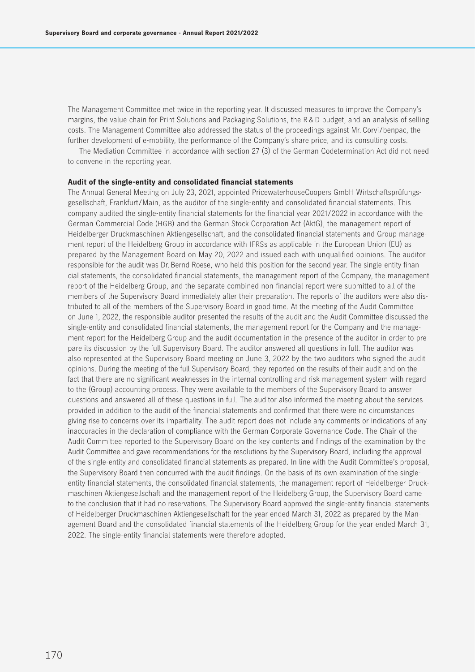The Management Committee met twice in the reporting year. It discussed measures to improve the Company's margins, the value chain for Print Solutions and Packaging Solutions, the R & D budget, and an analysis of selling costs. The Management Committee also addressed the status of the proceedings against Mr. Corvi/benpac, the further development of e-mobility, the performance of the Company's share price, and its consulting costs.

The Mediation Committee in accordance with section 27 (3) of the German Codetermination Act did not need to convene in the reporting year.

#### **Audit of the single-entity and consolidated financial statements**

The Annual General Meeting on July 23, 2021, appointed PricewaterhouseCoopers GmbH Wirtschaftsprüfungsgesellschaft, Frankfurt/Main, as the auditor of the single-entity and consolidated financial statements. This company audited the single-entity financial statements for the financial year 2021/2022 in accordance with the German Commercial Code (HGB) and the German Stock Corporation Act (AktG), the management report of Heidelberger Druckmaschinen Aktiengesellschaft, and the consolidated financial statements and Group management report of the Heidelberg Group in accordance with IFRSs as applicable in the European Union (EU) as prepared by the Management Board on May 20, 2022 and issued each with unqualified opinions. The auditor responsible for the audit was Dr. Bernd Roese, who held this position for the second year. The single-entity financial statements, the consolidated financial statements, the management report of the Company, the management report of the Heidelberg Group, and the separate combined non-financial report were submitted to all of the members of the Supervisory Board immediately after their preparation. The reports of the auditors were also distributed to all of the members of the Supervisory Board in good time. At the meeting of the Audit Committee on June 1, 2022, the responsible auditor presented the results of the audit and the Audit Committee discussed the single-entity and consolidated financial statements, the management report for the Company and the management report for the Heidelberg Group and the audit documentation in the presence of the auditor in order to prepare its discussion by the full Supervisory Board. The auditor answered all questions in full. The auditor was also represented at the Supervisory Board meeting on June 3, 2022 by the two auditors who signed the audit opinions. During the meeting of the full Supervisory Board, they reported on the results of their audit and on the fact that there are no significant weaknesses in the internal controlling and risk management system with regard to the (Group) accounting process. They were available to the members of the Supervisory Board to answer questions and answered all of these questions in full. The auditor also informed the meeting about the services provided in addition to the audit of the financial statements and confirmed that there were no circumstances giving rise to concerns over its impartiality. The audit report does not include any comments or indications of any inaccuracies in the declaration of compliance with the German Corporate Governance Code. The Chair of the Audit Committee reported to the Supervisory Board on the key contents and findings of the examination by the Audit Committee and gave recommendations for the resolutions by the Supervisory Board, including the approval of the single-entity and consolidated financial statements as prepared. In line with the Audit Committee's proposal, the Supervisory Board then concurred with the audit findings. On the basis of its own examination of the singleentity financial statements, the consolidated financial statements, the management report of Heidelberger Druckmaschinen Aktiengesellschaft and the management report of the Heidelberg Group, the Supervisory Board came to the conclusion that it had no reservations. The Supervisory Board approved the single-entity financial statements of Heidelberger Druckmaschinen Aktiengesellschaft for the year ended March 31, 2022 as prepared by the Management Board and the consolidated financial statements of the Heidelberg Group for the year ended March 31, 2022. The single-entity financial statements were therefore adopted.